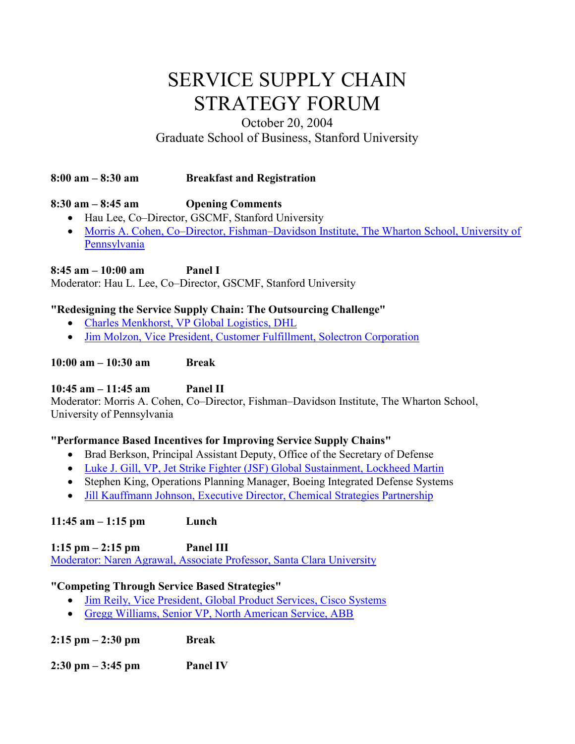# SERVICE SUPPLY CHAIN STRATEGY FORUM

## October 20, 2004 Graduate School of Business, Stanford University

#### **8:00 am – 8:30 am Breakfast and Registration**

#### **8:30 am – 8:45 am Opening Comments**

- Hau Lee, Co–Director, GSCMF, Stanford University
- Morris A. Cohen, Co–Director, Fishman–Davidson Institute, The Wharton School, University of [Pennsylvania](http://fishmandavidson.wharton.upenn.edu/wp-content/uploads/2016/04/01-Cohen.pdf)

**8:45 am – 10:00 am Panel I** Moderator: Hau L. Lee, Co–Director, GSCMF, Stanford University

#### **"Redesigning the Service Supply Chain: The Outsourcing Challenge"**

- [Charles Menkhorst, VP Global Logistics, DHL](http://fishmandavidson.wharton.upenn.edu/wp-content/uploads/2016/04/02-Menkhorst.pdf)
- [Jim Molzon, Vice President, Customer Fulfillment, Solectron Corporation](http://fishmandavidson.wharton.upenn.edu/wp-content/uploads/2016/04/03-Molzon.pdf)

**10:00 am – 10:30 am Break**

#### **10:45 am – 11:45 am Panel II**

Moderator: Morris A. Cohen, Co–Director, Fishman–Davidson Institute, The Wharton School, University of Pennsylvania

#### **"Performance Based Incentives for Improving Service Supply Chains"**

- Brad Berkson, Principal Assistant Deputy, Office of the Secretary of Defense
- [Luke J. Gill, VP, Jet Strike Fighter \(JSF\) Global Sustainment, Lockheed Martin](http://fishmandavidson.wharton.upenn.edu/wp-content/uploads/2016/04/04-Gill.pdf)
- Stephen King, Operations Planning Manager, Boeing Integrated Defense Systems
- [Jill Kauffmann Johnson, Executive Director, Chemical Strategies Partnership](http://fishmandavidson.wharton.upenn.edu/wp-content/uploads/2016/04/05-Johnson.pdf)

#### **11:45 am – 1:15 pm Lunch**

**1:15 pm – 2:15 pm Panel III** [Moderator: Naren Agrawal, Associate Professor, Santa Clara University](http://fishmandavidson.wharton.upenn.edu/wp-content/uploads/2016/04/06-Agrawal_Naren.pdf)

#### **"Competing Through Service Based Strategies"**

- [Jim Reily, Vice President, Global Product Services, Cisco Systems](http://fishmandavidson.wharton.upenn.edu/wp-content/uploads/2016/04/07-Reily.pdf)
- [Gregg Williams, Senior VP, North American Service, ABB](http://fishmandavidson.wharton.upenn.edu/wp-content/uploads/2016/04/08-Williams.pdf)

**2:15 pm – 2:30 pm Break**

**2:30 pm – 3:45 pm Panel IV**